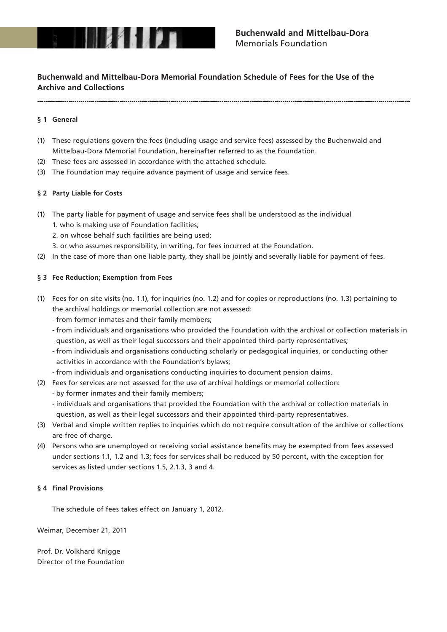

# **Buchenwald and Mittelbau-Dora Memorial Foundation Schedule of Fees for the Use of the Archive and Collections**

# **§ 1 General**

- (1) These regulations govern the fees (including usage and service fees) assessed by the Buchenwald and Mittelbau-Dora Memorial Foundation, hereinafter referred to as the Foundation.
- (2) These fees are assessed in accordance with the attached schedule.
- (3) The Foundation may require advance payment of usage and service fees.

## **§ 2 Party Liable for Costs**

- (1) The party liable for payment of usage and service fees shall be understood as the individual
	- 1. who is making use of Foundation facilities;
	- 2. on whose behalf such facilities are being used;
	- 3. or who assumes responsibility, in writing, for fees incurred at the Foundation.
- (2) In the case of more than one liable party, they shall be jointly and severally liable for payment of fees.

## **§ 3 Fee Reduction; Exemption from Fees**

- (1) Fees for on-site visits (no. 1.1), for inquiries (no. 1.2) and for copies or reproductions (no. 1.3) pertaining to the archival holdings or memorial collection are not assessed:
	- from former inmates and their family members;
	- from individuals and organisations who provided the Foundation with the archival or collection materials in question, as well as their legal successors and their appointed third-party representatives;
	- from individuals and organisations conducting scholarly or pedagogical inquiries, or conducting other activities in accordance with the Foundation's bylaws;
	- from individuals and organisations conducting inquiries to document pension claims.
- (2) Fees for services are not assessed for the use of archival holdings or memorial collection:
	- by former inmates and their family members;
	- individuals and organisations that provided the Foundation with the archival or collection materials in question, as well as their legal successors and their appointed third-party representatives.
- (3) Verbal and simple written replies to inquiries which do not require consultation of the archive or collections are free of charge.
- (4) Persons who are unemployed or receiving social assistance benefits may be exempted from fees assessed under sections 1.1, 1.2 and 1.3; fees for services shall be reduced by 50 percent, with the exception for services as listed under sections 1.5, 2.1.3, 3 and 4.

#### **§ 4 Final Provisions**

The schedule of fees takes effect on January 1, 2012.

Weimar, December 21, 2011

Prof. Dr. Volkhard Knigge Director of the Foundation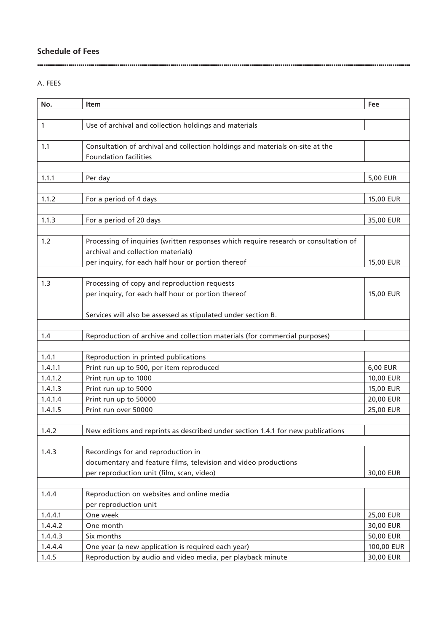# **Schedule of Fees**

# A. FEES

| No.     | Item                                                                                 | Fee        |
|---------|--------------------------------------------------------------------------------------|------------|
|         |                                                                                      |            |
| 1       | Use of archival and collection holdings and materials                                |            |
|         |                                                                                      |            |
| 1.1     | Consultation of archival and collection holdings and materials on-site at the        |            |
|         | <b>Foundation facilities</b>                                                         |            |
|         |                                                                                      |            |
| 1.1.1   | Per day                                                                              | 5,00 EUR   |
|         |                                                                                      |            |
| 1.1.2   | For a period of 4 days                                                               | 15,00 EUR  |
| 1.1.3   | For a period of 20 days                                                              | 35,00 EUR  |
|         |                                                                                      |            |
| 1.2     | Processing of inquiries (written responses which require research or consultation of |            |
|         | archival and collection materials)                                                   |            |
|         | per inquiry, for each half hour or portion thereof                                   | 15,00 EUR  |
|         |                                                                                      |            |
| 1.3     | Processing of copy and reproduction requests                                         |            |
|         | per inquiry, for each half hour or portion thereof                                   | 15,00 EUR  |
|         |                                                                                      |            |
|         | Services will also be assessed as stipulated under section B.                        |            |
|         |                                                                                      |            |
| 1.4     | Reproduction of archive and collection materials (for commercial purposes)           |            |
|         |                                                                                      |            |
| 1.4.1   | Reproduction in printed publications                                                 |            |
| 1.4.1.1 | Print run up to 500, per item reproduced                                             | 6,00 EUR   |
| 1.4.1.2 | Print run up to 1000                                                                 | 10,00 EUR  |
| 1.4.1.3 | Print run up to 5000                                                                 | 15,00 EUR  |
| 1.4.1.4 | Print run up to 50000                                                                | 20,00 EUR  |
| 1.4.1.5 | Print run over 50000                                                                 | 25,00 EUR  |
|         |                                                                                      |            |
| 1.4.2   | New editions and reprints as described under section 1.4.1 for new publications      |            |
| 1.4.3   | Recordings for and reproduction in                                                   |            |
|         | documentary and feature films, television and video productions                      |            |
|         | per reproduction unit (film, scan, video)                                            | 30,00 EUR  |
|         |                                                                                      |            |
| 1.4.4   | Reproduction on websites and online media                                            |            |
|         | per reproduction unit                                                                |            |
| 1.4.4.1 | One week                                                                             | 25,00 EUR  |
| 1.4.4.2 | One month                                                                            | 30,00 EUR  |
| 1.4.4.3 | Six months                                                                           | 50,00 EUR  |
| 1.4.4.4 | One year (a new application is required each year)                                   | 100,00 EUR |
| 1.4.5   | Reproduction by audio and video media, per playback minute                           | 30,00 EUR  |